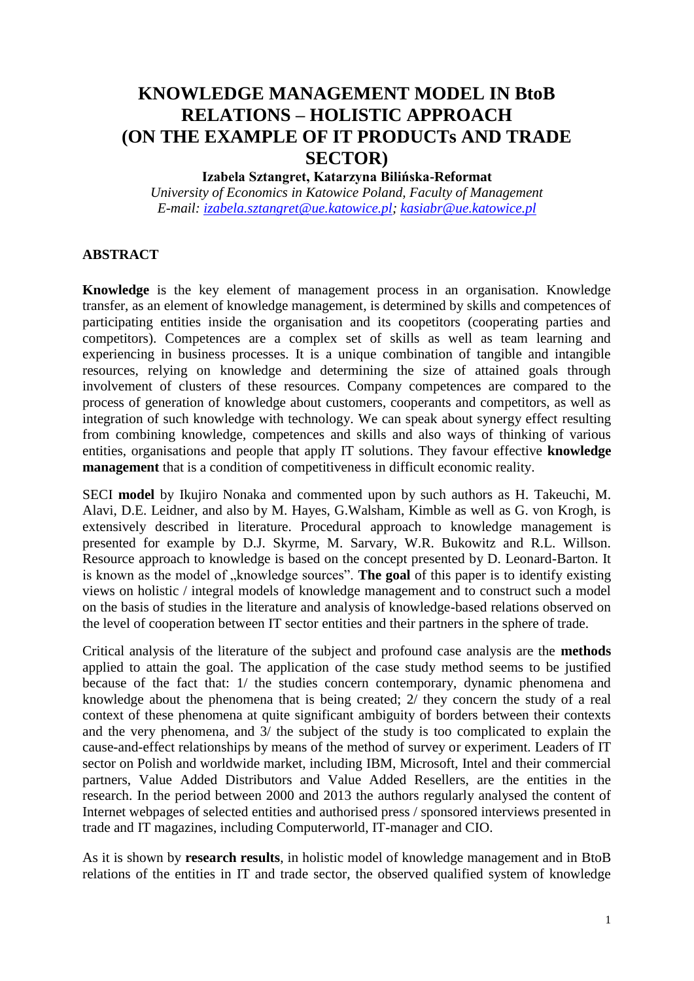# **KNOWLEDGE MANAGEMENT MODEL IN BtoB RELATIONS – HOLISTIC APPROACH (ON THE EXAMPLE OF IT PRODUCTs AND TRADE SECTOR)**

# **Izabela Sztangret, Katarzyna Bilińska-Reformat**

*University of Economics in Katowice Poland, Faculty of Management E-mail: [izabela.sztangret@ue.katowice.pl;](mailto:izabela.sztangret@ue.katowice.pl) [kasiabr@ue.katowice.pl](mailto:kasiabr@ue.katowice.pl)*

#### **ABSTRACT**

**Knowledge** is the key element of management process in an organisation. Knowledge transfer, as an element of knowledge management, is determined by skills and competences of participating entities inside the organisation and its coopetitors (cooperating parties and competitors). Competences are a complex set of skills as well as team learning and experiencing in business processes. It is a unique combination of tangible and intangible resources, relying on knowledge and determining the size of attained goals through involvement of clusters of these resources. Company competences are compared to the process of generation of knowledge about customers, cooperants and competitors, as well as integration of such knowledge with technology. We can speak about synergy effect resulting from combining knowledge, competences and skills and also ways of thinking of various entities, organisations and people that apply IT solutions. They favour effective **knowledge management** that is a condition of competitiveness in difficult economic reality.

SECI **model** by Ikujiro Nonaka and commented upon by such authors as H. Takeuchi, M. Alavi, D.E. Leidner, and also by M. Hayes, G.Walsham, Kimble as well as G. von Krogh, is extensively described in literature. Procedural approach to knowledge management is presented for example by D.J. Skyrme, M. Sarvary, W.R. Bukowitz and R.L. Willson. Resource approach to knowledge is based on the concept presented by D. Leonard-Barton. It is known as the model of "knowledge sources". The goal of this paper is to identify existing views on holistic / integral models of knowledge management and to construct such a model on the basis of studies in the literature and analysis of knowledge-based relations observed on the level of cooperation between IT sector entities and their partners in the sphere of trade.

Critical analysis of the literature of the subject and profound case analysis are the **methods** applied to attain the goal. The application of the case study method seems to be justified because of the fact that: 1/ the studies concern contemporary, dynamic phenomena and knowledge about the phenomena that is being created; 2/ they concern the study of a real context of these phenomena at quite significant ambiguity of borders between their contexts and the very phenomena, and 3/ the subject of the study is too complicated to explain the cause-and-effect relationships by means of the method of survey or experiment. Leaders of IT sector on Polish and worldwide market, including IBM, Microsoft, Intel and their commercial partners, Value Added Distributors and Value Added Resellers, are the entities in the research. In the period between 2000 and 2013 the authors regularly analysed the content of Internet webpages of selected entities and authorised press / sponsored interviews presented in trade and IT magazines, including Computerworld, IT-manager and CIO.

As it is shown by **research results**, in holistic model of knowledge management and in BtoB relations of the entities in IT and trade sector, the observed qualified system of knowledge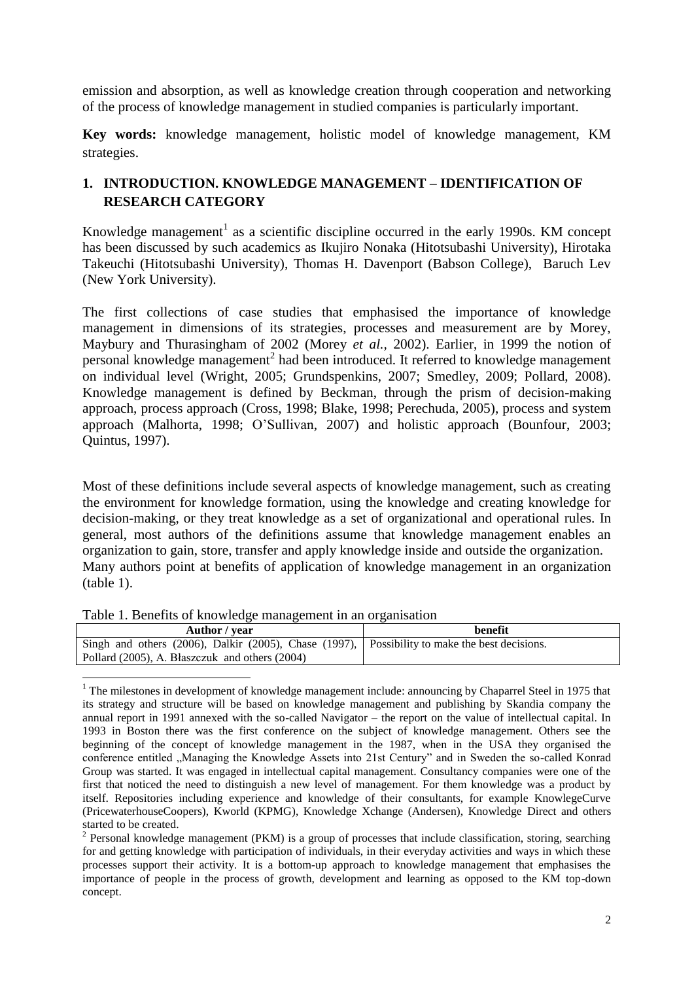emission and absorption, as well as knowledge creation through cooperation and networking of the process of knowledge management in studied companies is particularly important.

**Key words:** knowledge management, holistic model of knowledge management, KM strategies.

# **1. INTRODUCTION. KNOWLEDGE MANAGEMENT – IDENTIFICATION OF RESEARCH CATEGORY**

Knowledge management<sup>1</sup> as a scientific discipline occurred in the early 1990s. KM concept has been discussed by such academics as Ikujiro Nonaka (Hitotsubashi University), Hirotaka Takeuchi (Hitotsubashi University), Thomas H. Davenport (Babson College), Baruch Lev (New York University).

The first collections of case studies that emphasised the importance of knowledge management in dimensions of its strategies, processes and measurement are by Morey, Maybury and Thurasingham of 2002 (Morey *et al.,* 2002). Earlier, in 1999 the notion of personal knowledge management<sup>2</sup> had been introduced. It referred to knowledge management on individual level (Wright, 2005; Grundspenkins, 2007; Smedley, 2009; Pollard, 2008). Knowledge management is defined by Beckman, through the prism of decision-making approach, process approach (Cross, 1998; Blake, 1998; Perechuda, 2005), process and system approach (Malhorta, 1998; O'Sullivan, 2007) and holistic approach (Bounfour, 2003; Quintus, 1997).

Most of these definitions include several aspects of knowledge management, such as creating the environment for knowledge formation, using the knowledge and creating knowledge for decision-making, or they treat knowledge as a set of organizational and operational rules. In general, most authors of the definitions assume that knowledge management enables an organization to gain, store, transfer and apply knowledge inside and outside the organization. Many authors point at benefits of application of knowledge management in an organization (table 1).

|  |  | Table 1. Benefits of knowledge management in an organisation |
|--|--|--------------------------------------------------------------|
|  |  |                                                              |

 $\overline{\phantom{a}}$ 

| benefit                                                                                       |
|-----------------------------------------------------------------------------------------------|
| Singh and others (2006), Dalkir (2005), Chase (1997), Possibility to make the best decisions. |
|                                                                                               |

<sup>&</sup>lt;sup>1</sup> The milestones in development of knowledge management include: announcing by Chaparrel Steel in 1975 that its strategy and structure will be based on knowledge management and publishing by Skandia company the annual report in 1991 annexed with the so-called Navigator – the report on the value of intellectual capital. In 1993 in Boston there was the first conference on the subject of knowledge management. Others see the beginning of the concept of knowledge management in the 1987, when in the USA they organised the conference entitled "Managing the Knowledge Assets into 21st Century" and in Sweden the so-called Konrad Group was started. It was engaged in intellectual capital management. Consultancy companies were one of the first that noticed the need to distinguish a new level of management. For them knowledge was a product by itself. Repositories including experience and knowledge of their consultants, for example KnowlegeCurve (PricewaterhouseCoopers), Kworld (KPMG), Knowledge Xchange (Andersen), Knowledge Direct and others started to be created.

 $2$  Personal knowledge management (PKM) is a group of processes that include classification, storing, searching for and getting knowledge with participation of individuals, in their everyday activities and ways in which these processes support their activity. It is a bottom-up approach to knowledge management that emphasises the importance of people in the process of growth, development and learning as opposed to the KM top-down concept.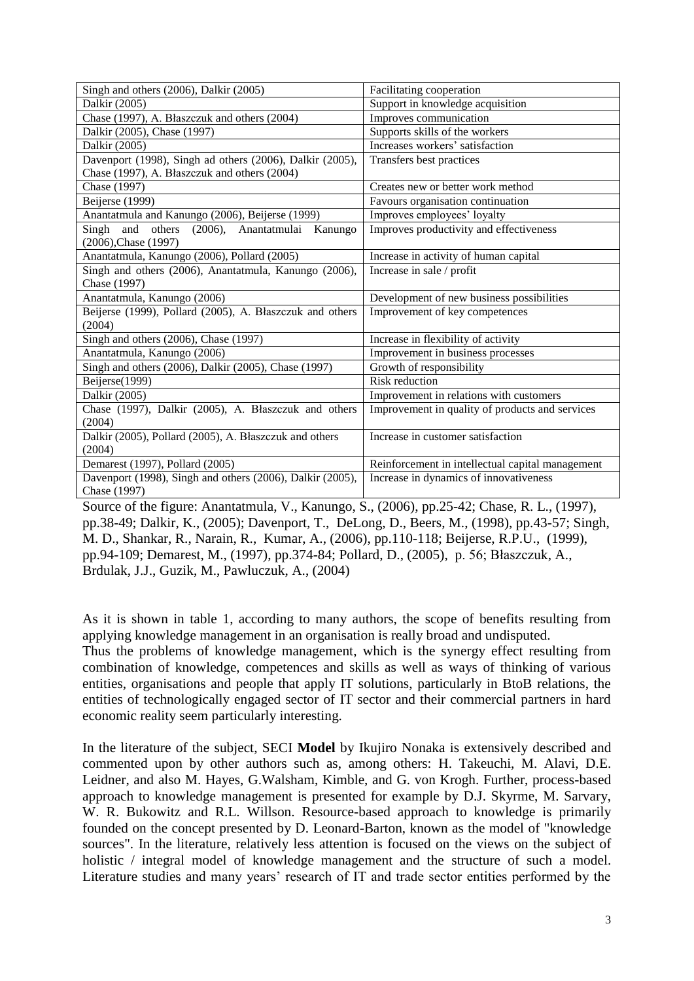| Singh and others (2006), Dalkir (2005)                    | Facilitating cooperation                         |
|-----------------------------------------------------------|--------------------------------------------------|
| Dalkir (2005)                                             | Support in knowledge acquisition                 |
| Chase (1997), A. Błaszczuk and others (2004)              | Improves communication                           |
| Dalkir (2005), Chase (1997)                               | Supports skills of the workers                   |
| Dalkir (2005)                                             | Increases workers' satisfaction                  |
| Davenport (1998), Singh ad others (2006), Dalkir (2005),  | Transfers best practices                         |
| Chase (1997), A. Błaszczuk and others (2004)              |                                                  |
| Chase (1997)                                              | Creates new or better work method                |
| Beijerse (1999)                                           | Favours organisation continuation                |
| Anantatmula and Kanungo (2006), Beijerse (1999)           | Improves employees' loyalty                      |
| Singh and<br>others (2006), Anantatmulai<br>Kanungo       | Improves productivity and effectiveness          |
| (2006), Chase (1997)                                      |                                                  |
| Anantatmula, Kanungo (2006), Pollard (2005)               | Increase in activity of human capital            |
| Singh and others (2006), Anantatmula, Kanungo (2006),     | Increase in sale / profit                        |
| Chase (1997)                                              |                                                  |
|                                                           |                                                  |
| Anantatmula, Kanungo (2006)                               | Development of new business possibilities        |
| Beijerse (1999), Pollard (2005), A. Błaszczuk and others  | Improvement of key competences                   |
| (2004)                                                    |                                                  |
| Singh and others (2006), Chase (1997)                     | Increase in flexibility of activity              |
| Anantatmula, Kanungo (2006)                               | Improvement in business processes                |
| Singh and others (2006), Dalkir (2005), Chase (1997)      | Growth of responsibility                         |
| Beijerse(1999)                                            | Risk reduction                                   |
| Dalkir (2005)                                             | Improvement in relations with customers          |
| Chase (1997), Dalkir (2005), A. Błaszczuk and others      | Improvement in quality of products and services  |
| (2004)                                                    |                                                  |
| Dalkir (2005), Pollard (2005), A. Błaszczuk and others    | Increase in customer satisfaction                |
| (2004)                                                    |                                                  |
| Demarest (1997), Pollard (2005)                           | Reinforcement in intellectual capital management |
| Davenport (1998), Singh and others (2006), Dalkir (2005), | Increase in dynamics of innovativeness           |
| Chase (1997)<br>$\sim$                                    |                                                  |

Source of the figure: Anantatmula, V., Kanungo, S., (2006), pp.25-42; Chase, R. L., (1997), pp.38-49; Dalkir, K., (2005); Davenport, T., DeLong, D., Beers, M., (1998), pp.43-57; Singh, M. D., Shankar, R., Narain, R., Kumar, A., (2006), pp.110-118; Beijerse, R.P.U., (1999), pp.94-109; Demarest, M., (1997), pp.374-84; Pollard, D., (2005), p. 56; Błaszczuk, A., Brdulak, J.J., Guzik, M., Pawluczuk, A., (2004)

As it is shown in table 1, according to many authors, the scope of benefits resulting from applying knowledge management in an organisation is really broad and undisputed. Thus the problems of knowledge management, which is the synergy effect resulting from combination of knowledge, competences and skills as well as ways of thinking of various entities, organisations and people that apply IT solutions, particularly in BtoB relations, the entities of technologically engaged sector of IT sector and their commercial partners in hard economic reality seem particularly interesting.

In the literature of the subject, SECI **Model** by Ikujiro Nonaka is extensively described and commented upon by other authors such as, among others: H. Takeuchi, M. Alavi, D.E. Leidner, and also M. Hayes, G.Walsham, Kimble, and G. von Krogh. Further, process-based approach to knowledge management is presented for example by D.J. Skyrme, M. Sarvary, W. R. Bukowitz and R.L. Willson. Resource-based approach to knowledge is primarily founded on the concept presented by D. Leonard-Barton, known as the model of "knowledge sources". In the literature, relatively less attention is focused on the views on the subject of holistic / integral model of knowledge management and the structure of such a model. Literature studies and many years' research of IT and trade sector entities performed by the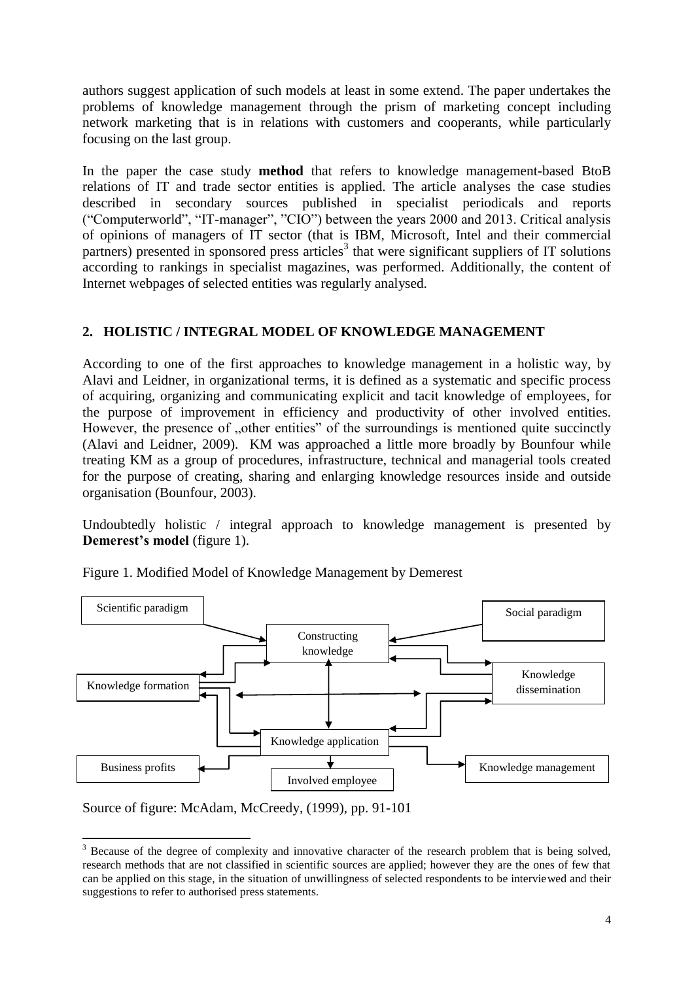authors suggest application of such models at least in some extend. The paper undertakes the problems of knowledge management through the prism of marketing concept including network marketing that is in relations with customers and cooperants, while particularly focusing on the last group.

In the paper the case study **method** that refers to knowledge management-based BtoB relations of IT and trade sector entities is applied. The article analyses the case studies described in secondary sources published in specialist periodicals and reports ("Computerworld", "IT-manager", "CIO") between the years 2000 and 2013. Critical analysis of opinions of managers of IT sector (that is IBM, Microsoft, Intel and their commercial partners) presented in sponsored press articles<sup>3</sup> that were significant suppliers of IT solutions according to rankings in specialist magazines, was performed. Additionally, the content of Internet webpages of selected entities was regularly analysed.

# **2. HOLISTIC / INTEGRAL MODEL OF KNOWLEDGE MANAGEMENT**

According to one of the first approaches to knowledge management in a holistic way, by Alavi and Leidner, in organizational terms, it is defined as a systematic and specific process of acquiring, organizing and communicating explicit and tacit knowledge of employees, for the purpose of improvement in efficiency and productivity of other involved entities. However, the presence of ...other entities" of the surroundings is mentioned quite succinctly (Alavi and Leidner, 2009). KM was approached a little more broadly by Bounfour while treating KM as a group of procedures, infrastructure, technical and managerial tools created for the purpose of creating, sharing and enlarging knowledge resources inside and outside organisation (Bounfour, 2003).

Undoubtedly holistic / integral approach to knowledge management is presented by **Demerest's model** (figure 1).



Figure 1. Modified Model of Knowledge Management by Demerest

Source of figure: McAdam, McCreedy, (1999), pp. 91-101

**<sup>.</sup>**  $3$  Because of the degree of complexity and innovative character of the research problem that is being solved, research methods that are not classified in scientific sources are applied; however they are the ones of few that can be applied on this stage, in the situation of unwillingness of selected respondents to be interviewed and their suggestions to refer to authorised press statements.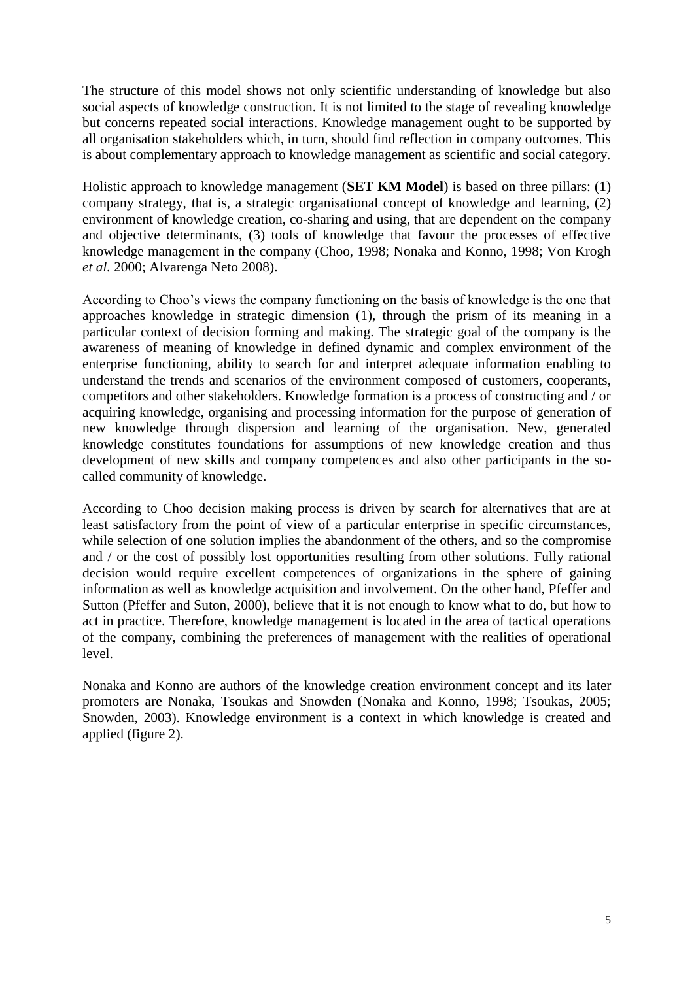The structure of this model shows not only scientific understanding of knowledge but also social aspects of knowledge construction. It is not limited to the stage of revealing knowledge but concerns repeated social interactions. Knowledge management ought to be supported by all organisation stakeholders which, in turn, should find reflection in company outcomes. This is about complementary approach to knowledge management as scientific and social category.

Holistic approach to knowledge management (**SET KM Model**) is based on three pillars: (1) company strategy, that is, a strategic organisational concept of knowledge and learning, (2) environment of knowledge creation, co-sharing and using, that are dependent on the company and objective determinants, (3) tools of knowledge that favour the processes of effective knowledge management in the company (Choo, 1998; Nonaka and Konno, 1998; Von Krogh *et al.* 2000; Alvarenga Neto 2008).

According to Choo's views the company functioning on the basis of knowledge is the one that approaches knowledge in strategic dimension (1), through the prism of its meaning in a particular context of decision forming and making. The strategic goal of the company is the awareness of meaning of knowledge in defined dynamic and complex environment of the enterprise functioning, ability to search for and interpret adequate information enabling to understand the trends and scenarios of the environment composed of customers, cooperants, competitors and other stakeholders. Knowledge formation is a process of constructing and / or acquiring knowledge, organising and processing information for the purpose of generation of new knowledge through dispersion and learning of the organisation. New, generated knowledge constitutes foundations for assumptions of new knowledge creation and thus development of new skills and company competences and also other participants in the socalled community of knowledge.

According to Choo decision making process is driven by search for alternatives that are at least satisfactory from the point of view of a particular enterprise in specific circumstances, while selection of one solution implies the abandonment of the others, and so the compromise and / or the cost of possibly lost opportunities resulting from other solutions. Fully rational decision would require excellent competences of organizations in the sphere of gaining information as well as knowledge acquisition and involvement. On the other hand, Pfeffer and Sutton (Pfeffer and Suton, 2000), believe that it is not enough to know what to do, but how to act in practice. Therefore, knowledge management is located in the area of tactical operations of the company, combining the preferences of management with the realities of operational level.

Nonaka and Konno are authors of the knowledge creation environment concept and its later promoters are Nonaka, Tsoukas and Snowden (Nonaka and Konno, 1998; Tsoukas, 2005; Snowden, 2003). Knowledge environment is a context in which knowledge is created and applied (figure 2).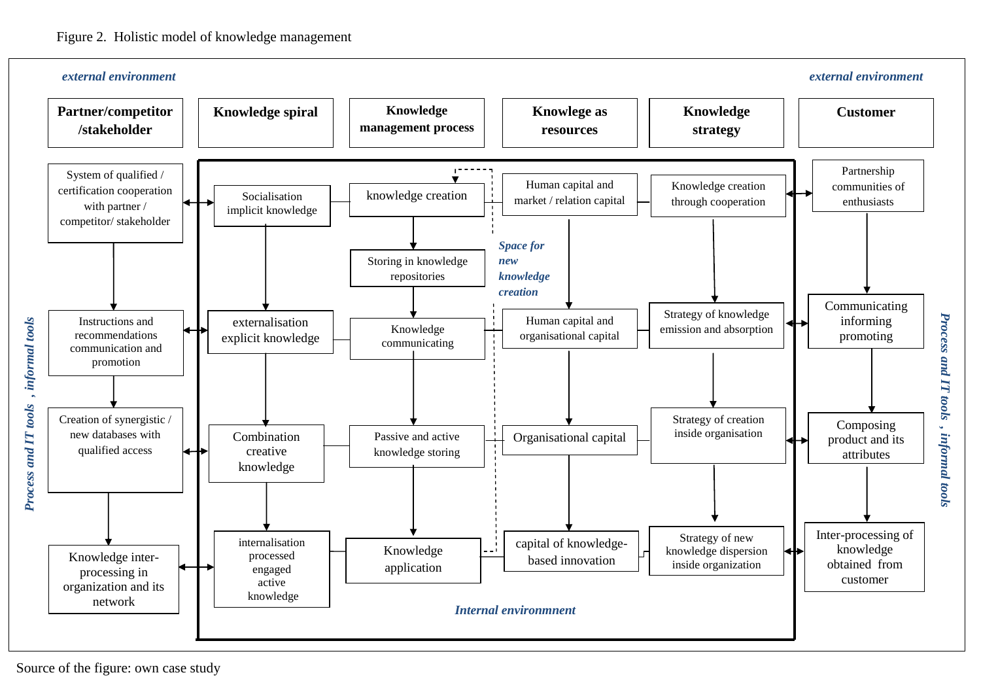

Source of the figure: own case study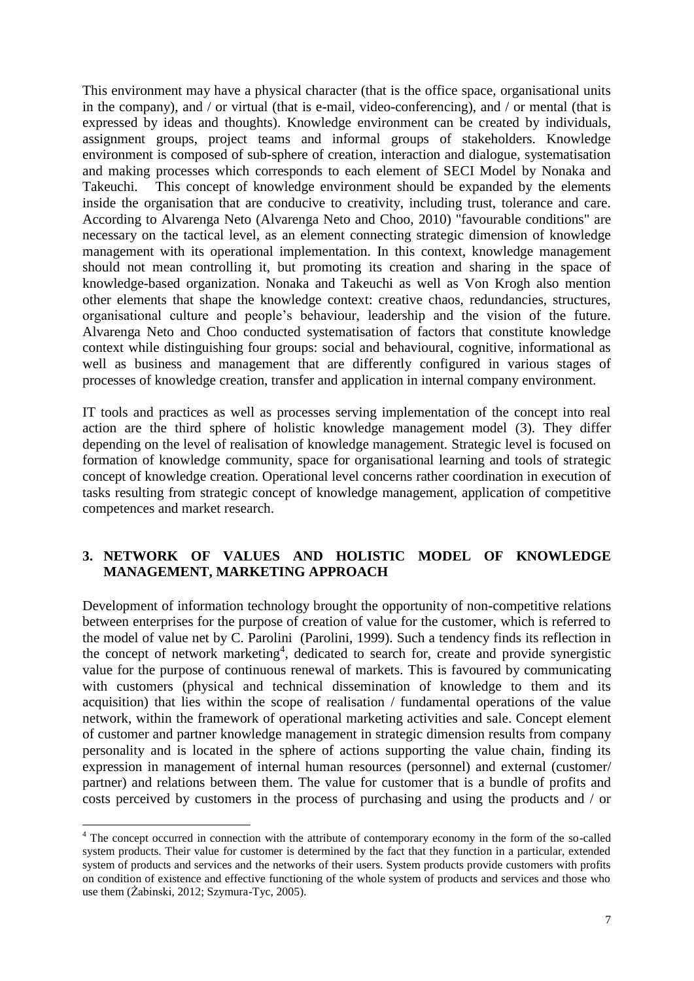This environment may have a physical character (that is the office space, organisational units in the company), and / or virtual (that is e-mail, video-conferencing), and / or mental (that is expressed by ideas and thoughts). Knowledge environment can be created by individuals, assignment groups, project teams and informal groups of stakeholders. Knowledge environment is composed of sub-sphere of creation, interaction and dialogue, systematisation and making processes which corresponds to each element of SECI Model by Nonaka and Takeuchi. This concept of knowledge environment should be expanded by the elements inside the organisation that are conducive to creativity, including trust, tolerance and care. According to Alvarenga Neto (Alvarenga Neto and Choo, 2010) "favourable conditions" are necessary on the tactical level, as an element connecting strategic dimension of knowledge management with its operational implementation. In this context, knowledge management should not mean controlling it, but promoting its creation and sharing in the space of knowledge-based organization. Nonaka and Takeuchi as well as Von Krogh also mention other elements that shape the knowledge context: creative chaos, redundancies, structures, organisational culture and people's behaviour, leadership and the vision of the future. Alvarenga Neto and Choo conducted systematisation of factors that constitute knowledge context while distinguishing four groups: social and behavioural, cognitive, informational as well as business and management that are differently configured in various stages of processes of knowledge creation, transfer and application in internal company environment.

IT tools and practices as well as processes serving implementation of the concept into real action are the third sphere of holistic knowledge management model (3). They differ depending on the level of realisation of knowledge management. Strategic level is focused on formation of knowledge community, space for organisational learning and tools of strategic concept of knowledge creation. Operational level concerns rather coordination in execution of tasks resulting from strategic concept of knowledge management, application of competitive competences and market research.

#### **3. NETWORK OF VALUES AND HOLISTIC MODEL OF KNOWLEDGE MANAGEMENT, MARKETING APPROACH**

Development of information technology brought the opportunity of non-competitive relations between enterprises for the purpose of creation of value for the customer, which is referred to the model of value net by C. Parolini (Parolini, 1999). Such a tendency finds its reflection in the concept of network marketing<sup>4</sup>, dedicated to search for, create and provide synergistic value for the purpose of continuous renewal of markets. This is favoured by communicating with customers (physical and technical dissemination of knowledge to them and its acquisition) that lies within the scope of realisation / fundamental operations of the value network, within the framework of operational marketing activities and sale. Concept element of customer and partner knowledge management in strategic dimension results from company personality and is located in the sphere of actions supporting the value chain, finding its expression in management of internal human resources (personnel) and external (customer/ partner) and relations between them. The value for customer that is a bundle of profits and costs perceived by customers in the process of purchasing and using the products and / or

**.** 

<sup>&</sup>lt;sup>4</sup> The concept occurred in connection with the attribute of contemporary economy in the form of the so-called system products. Their value for customer is determined by the fact that they function in a particular, extended system of products and services and the networks of their users. System products provide customers with profits on condition of existence and effective functioning of the whole system of products and services and those who use them (Żabinski, 2012; Szymura-Tyc, 2005).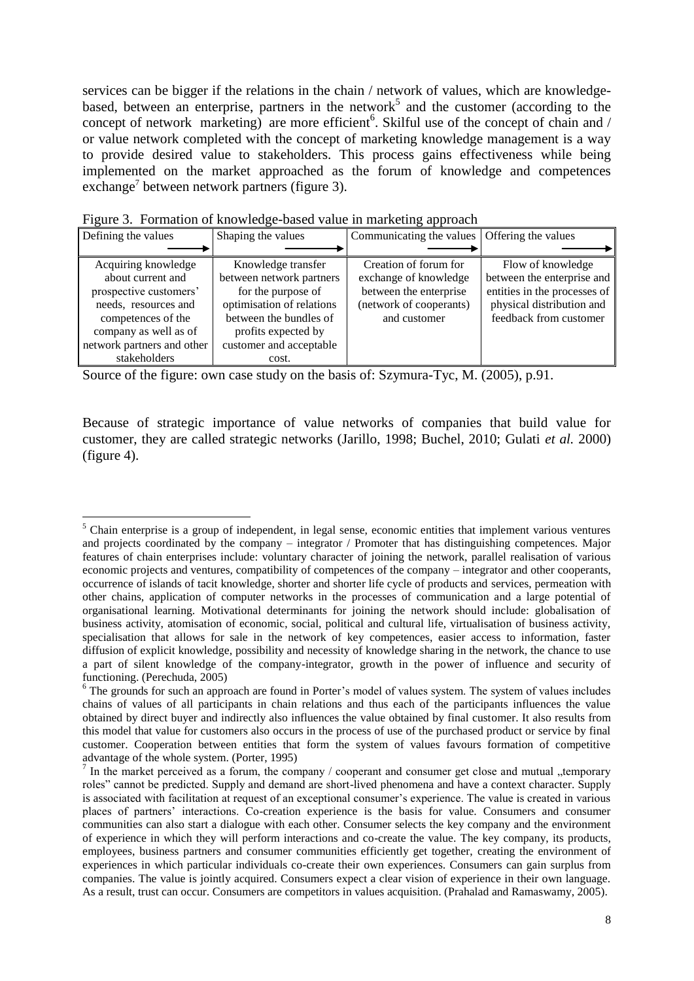services can be bigger if the relations in the chain / network of values, which are knowledgebased, between an enterprise, partners in the network<sup>5</sup> and the customer (according to the concept of network marketing) are more efficient<sup>6</sup>. Skilful use of the concept of chain and / or value network completed with the concept of marketing knowledge management is a way to provide desired value to stakeholders. This process gains effectiveness while being implemented on the market approached as the forum of knowledge and competences exchange<sup>7</sup> between network partners (figure 3).

| Defining the values        | Shaping the values        | Communicating the values   Offering the values |                              |
|----------------------------|---------------------------|------------------------------------------------|------------------------------|
|                            |                           |                                                |                              |
| Acquiring knowledge        | Knowledge transfer        | Creation of forum for                          | Flow of knowledge            |
| about current and          | between network partners  | exchange of knowledge                          | between the enterprise and   |
| prospective customers'     | for the purpose of        | between the enterprise                         | entities in the processes of |
| needs, resources and       | optimisation of relations | (network of cooperants)                        | physical distribution and    |
| competences of the         | between the bundles of    | and customer                                   | feedback from customer       |
| company as well as of      | profits expected by       |                                                |                              |
| network partners and other | customer and acceptable   |                                                |                              |
| stakeholders               | cost.                     |                                                |                              |

Figure 3. Formation of knowledge-based value in marketing approach

1

Source of the figure: own case study on the basis of: Szymura-Tyc, M. (2005), p.91.

Because of strategic importance of value networks of companies that build value for customer, they are called strategic networks (Jarillo, 1998; Buchel, 2010; Gulati *et al.* 2000) (figure 4).

 $<sup>5</sup>$  Chain enterprise is a group of independent, in legal sense, economic entities that implement various ventures</sup> and projects coordinated by the company – integrator / Promoter that has distinguishing competences. Major features of chain enterprises include: voluntary character of joining the network, parallel realisation of various economic projects and ventures, compatibility of competences of the company – integrator and other cooperants, occurrence of islands of tacit knowledge, shorter and shorter life cycle of products and services, permeation with other chains, application of computer networks in the processes of communication and a large potential of organisational learning. Motivational determinants for joining the network should include: globalisation of business activity, atomisation of economic, social, political and cultural life, virtualisation of business activity, specialisation that allows for sale in the network of key competences, easier access to information, faster diffusion of explicit knowledge, possibility and necessity of knowledge sharing in the network, the chance to use a part of silent knowledge of the company-integrator, growth in the power of influence and security of functioning. (Perechuda, 2005)

<sup>&</sup>lt;sup>6</sup> The grounds for such an approach are found in Porter's model of values system. The system of values includes chains of values of all participants in chain relations and thus each of the participants influences the value obtained by direct buyer and indirectly also influences the value obtained by final customer. It also results from this model that value for customers also occurs in the process of use of the purchased product or service by final customer. Cooperation between entities that form the system of values favours formation of competitive advantage of the whole system. (Porter, 1995)

<sup>&</sup>lt;sup>7</sup> In the market perceived as a forum, the company / cooperant and consumer get close and mutual "temporary roles" cannot be predicted. Supply and demand are short-lived phenomena and have a context character. Supply is associated with facilitation at request of an exceptional consumer's experience. The value is created in various places of partners' interactions. Co-creation experience is the basis for value. Consumers and consumer communities can also start a dialogue with each other. Consumer selects the key company and the environment of experience in which they will perform interactions and co-create the value. The key company, its products, employees, business partners and consumer communities efficiently get together, creating the environment of experiences in which particular individuals co-create their own experiences. Consumers can gain surplus from companies. The value is jointly acquired. Consumers expect a clear vision of experience in their own language. As a result, trust can occur. Consumers are competitors in values acquisition. (Prahalad and Ramaswamy, 2005).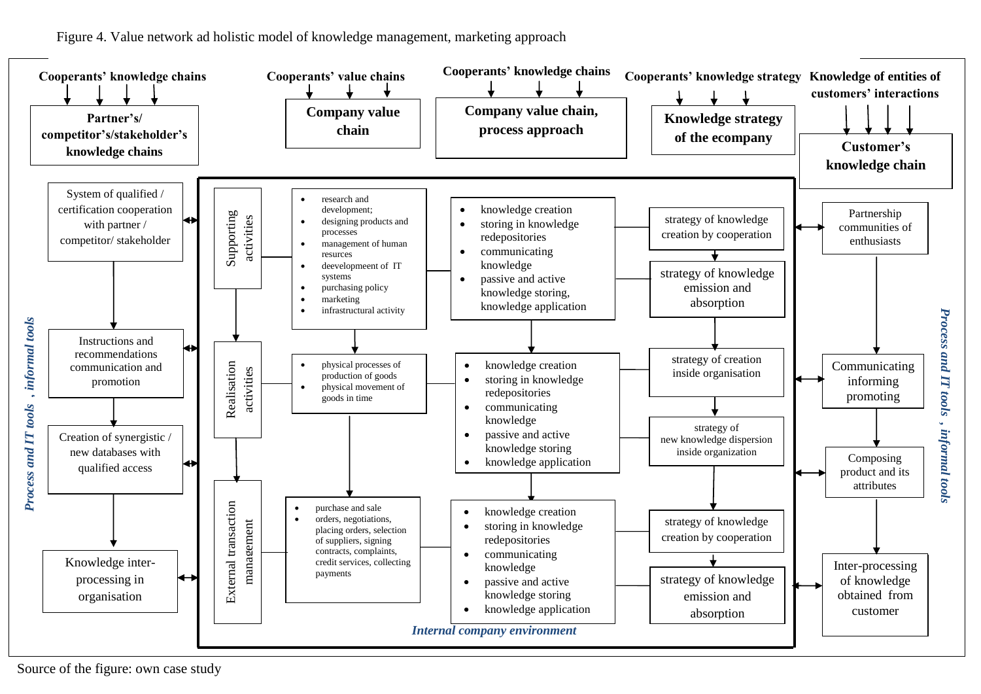Figure 4. Value network ad holistic model of knowledge management, marketing approach



Source of the figure: own case study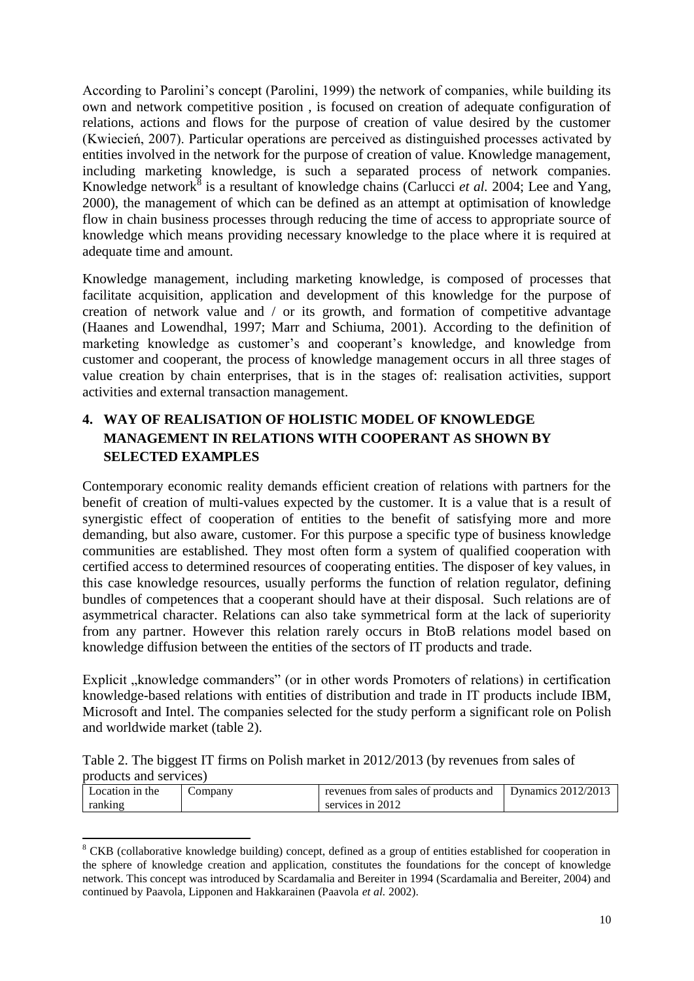According to Parolini's concept (Parolini, 1999) the network of companies, while building its own and network competitive position , is focused on creation of adequate configuration of relations, actions and flows for the purpose of creation of value desired by the customer (Kwiecień, 2007). Particular operations are perceived as distinguished processes activated by entities involved in the network for the purpose of creation of value. Knowledge management, including marketing knowledge, is such a separated process of network companies. Knowledge network<sup>8</sup> is a resultant of knowledge chains (Carlucci *et al.* 2004; Lee and Yang, 2000), the management of which can be defined as an attempt at optimisation of knowledge flow in chain business processes through reducing the time of access to appropriate source of knowledge which means providing necessary knowledge to the place where it is required at adequate time and amount.

Knowledge management, including marketing knowledge, is composed of processes that facilitate acquisition, application and development of this knowledge for the purpose of creation of network value and / or its growth, and formation of competitive advantage (Haanes and Lowendhal, 1997; Marr and Schiuma, 2001). According to the definition of marketing knowledge as customer's and cooperant's knowledge, and knowledge from customer and cooperant, the process of knowledge management occurs in all three stages of value creation by chain enterprises, that is in the stages of: realisation activities, support activities and external transaction management.

# **4. WAY OF REALISATION OF HOLISTIC MODEL OF KNOWLEDGE MANAGEMENT IN RELATIONS WITH COOPERANT AS SHOWN BY SELECTED EXAMPLES**

Contemporary economic reality demands efficient creation of relations with partners for the benefit of creation of multi-values expected by the customer. It is a value that is a result of synergistic effect of cooperation of entities to the benefit of satisfying more and more demanding, but also aware, customer. For this purpose a specific type of business knowledge communities are established. They most often form a system of qualified cooperation with certified access to determined resources of cooperating entities. The disposer of key values, in this case knowledge resources, usually performs the function of relation regulator, defining bundles of competences that a cooperant should have at their disposal. Such relations are of asymmetrical character. Relations can also take symmetrical form at the lack of superiority from any partner. However this relation rarely occurs in BtoB relations model based on knowledge diffusion between the entities of the sectors of IT products and trade.

Explicit "knowledge commanders" (or in other words Promoters of relations) in certification knowledge-based relations with entities of distribution and trade in IT products include IBM, Microsoft and Intel. The companies selected for the study perform a significant role on Polish and worldwide market (table 2).

| Table 2. The biggest IT firms on Polish market in 2012/2013 (by revenues from sales of |  |  |  |  |  |  |
|----------------------------------------------------------------------------------------|--|--|--|--|--|--|
| products and services)                                                                 |  |  |  |  |  |  |

| Location in the | $\mathcal{L}$ ompany | revenues from sales of products and | Dynamics $2012/2013$ |
|-----------------|----------------------|-------------------------------------|----------------------|
| ranking         |                      | services in 2012                    |                      |

**<sup>.</sup>** <sup>8</sup> CKB (collaborative knowledge building) concept, defined as a group of entities established for cooperation in the sphere of knowledge creation and application, constitutes the foundations for the concept of knowledge network. This concept was introduced by Scardamalia and Bereiter in 1994 (Scardamalia and Bereiter, 2004) and continued by Paavola, Lipponen and Hakkarainen (Paavola *et al.* 2002).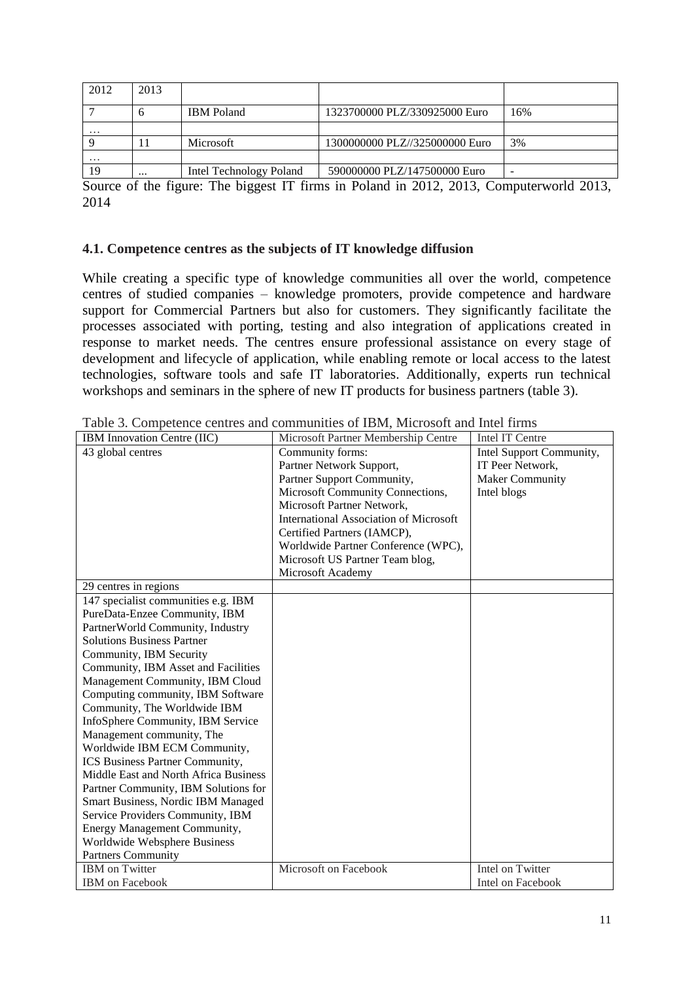| 2012     | 2013      |                         |                                |     |
|----------|-----------|-------------------------|--------------------------------|-----|
|          |           | <b>IBM</b> Poland       | 1323700000 PLZ/330925000 Euro  | 16% |
| $\cdots$ |           |                         |                                |     |
|          |           | Microsoft               | 1300000000 PLZ//325000000 Euro | 3%  |
| $\cdots$ |           |                         |                                |     |
| 19       | $\ddotsc$ | Intel Technology Poland | 590000000 PLZ/147500000 Euro   | -   |

Source of the figure: The biggest IT firms in Poland in 2012, 2013, Computerworld 2013, 2014

#### **4.1. Competence centres as the subjects of IT knowledge diffusion**

While creating a specific type of knowledge communities all over the world, competence centres of studied companies – knowledge promoters, provide competence and hardware support for Commercial Partners but also for customers. They significantly facilitate the processes associated with porting, testing and also integration of applications created in response to market needs. The centres ensure professional assistance on every stage of development and lifecycle of application, while enabling remote or local access to the latest technologies, software tools and safe IT laboratories. Additionally, experts run technical workshops and seminars in the sphere of new IT products for business partners (table 3).

| Tuote of Competence centres an<br>IBM Innovation Centre (IIC) | Microsoft Partner Membership Centre           | Intel IT Centre          |
|---------------------------------------------------------------|-----------------------------------------------|--------------------------|
| 43 global centres                                             | Community forms:                              | Intel Support Community, |
|                                                               | Partner Network Support,                      | IT Peer Network,         |
|                                                               | Partner Support Community,                    | <b>Maker Community</b>   |
|                                                               | Microsoft Community Connections,              | Intel blogs              |
|                                                               | Microsoft Partner Network,                    |                          |
|                                                               | <b>International Association of Microsoft</b> |                          |
|                                                               | Certified Partners (IAMCP),                   |                          |
|                                                               | Worldwide Partner Conference (WPC),           |                          |
|                                                               | Microsoft US Partner Team blog,               |                          |
|                                                               | Microsoft Academy                             |                          |
| 29 centres in regions                                         |                                               |                          |
| 147 specialist communities e.g. IBM                           |                                               |                          |
| PureData-Enzee Community, IBM                                 |                                               |                          |
| PartnerWorld Community, Industry                              |                                               |                          |
| <b>Solutions Business Partner</b>                             |                                               |                          |
| Community, IBM Security                                       |                                               |                          |
| Community, IBM Asset and Facilities                           |                                               |                          |
| Management Community, IBM Cloud                               |                                               |                          |
| Computing community, IBM Software                             |                                               |                          |
| Community, The Worldwide IBM                                  |                                               |                          |
| InfoSphere Community, IBM Service                             |                                               |                          |
| Management community, The                                     |                                               |                          |
| Worldwide IBM ECM Community,                                  |                                               |                          |
| ICS Business Partner Community,                               |                                               |                          |
| Middle East and North Africa Business                         |                                               |                          |
| Partner Community, IBM Solutions for                          |                                               |                          |
| Smart Business, Nordic IBM Managed                            |                                               |                          |
| Service Providers Community, IBM                              |                                               |                          |
| Energy Management Community,                                  |                                               |                          |
| Worldwide Websphere Business                                  |                                               |                          |
| <b>Partners Community</b>                                     |                                               |                          |
| <b>IBM</b> on Twitter                                         | Microsoft on Facebook                         | Intel on Twitter         |
| <b>IBM</b> on Facebook                                        |                                               | Intel on Facebook        |

Table 3. Competence centres and communities of IBM, Microsoft and Intel firms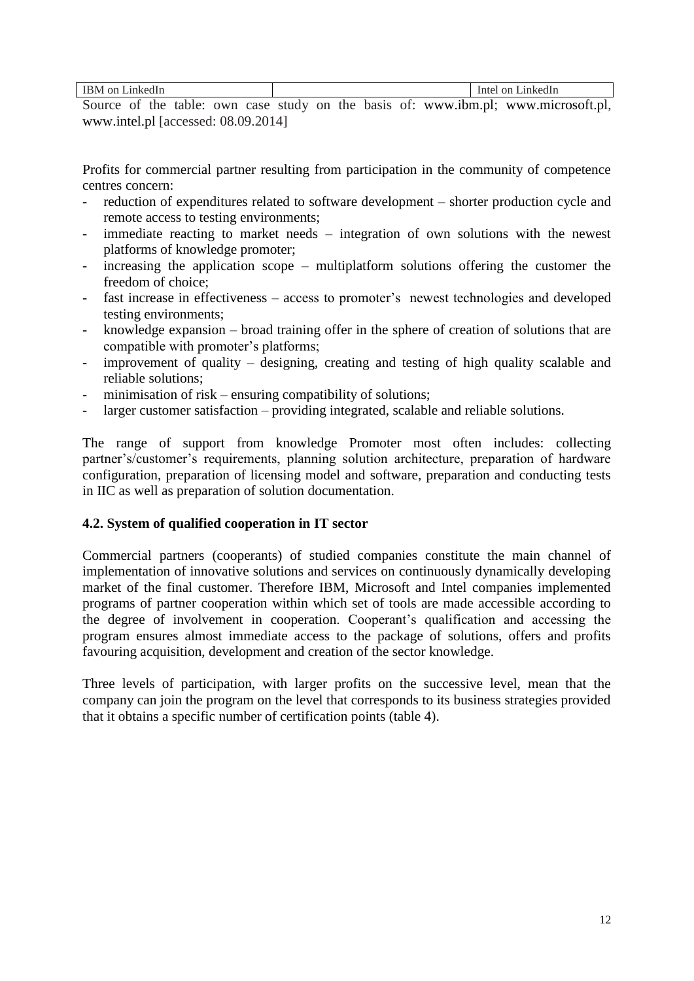| $\alpha$<br>ınk                                                                                               |                                | н |
|---------------------------------------------------------------------------------------------------------------|--------------------------------|---|
| .<br>-----<br>$\sim$ $\sim$<br>________<br>- -<br>$\bullet$ $\bullet$ $\bullet$ $\bullet$ $\bullet$ $\bullet$ | - - -<br>.<br>--------<br>____ |   |

Source of the table: own case study on the basis of: www.ibm.pl; www.microsoft.pl, www.intel.pl [accessed: 08.09.2014]

Profits for commercial partner resulting from participation in the community of competence centres concern:

- reduction of expenditures related to software development shorter production cycle and remote access to testing environments;
- immediate reacting to market needs  $-$  integration of own solutions with the newest platforms of knowledge promoter;
- increasing the application scope multiplatform solutions offering the customer the freedom of choice;
- fast increase in effectiveness access to promoter's newest technologies and developed testing environments;
- knowledge expansion broad training offer in the sphere of creation of solutions that are compatible with promoter's platforms;
- improvement of quality designing, creating and testing of high quality scalable and reliable solutions;
- minimisation of risk ensuring compatibility of solutions;
- larger customer satisfaction providing integrated, scalable and reliable solutions.

The range of support from knowledge Promoter most often includes: collecting partner's/customer's requirements, planning solution architecture, preparation of hardware configuration, preparation of licensing model and software, preparation and conducting tests in IIC as well as preparation of solution documentation.

# **4.2. System of qualified cooperation in IT sector**

Commercial partners (cooperants) of studied companies constitute the main channel of implementation of innovative solutions and services on continuously dynamically developing market of the final customer. Therefore IBM, Microsoft and Intel companies implemented programs of partner cooperation within which set of tools are made accessible according to the degree of involvement in cooperation. Cooperant's qualification and accessing the program ensures almost immediate access to the package of solutions, offers and profits favouring acquisition, development and creation of the sector knowledge.

Three levels of participation, with larger profits on the successive level, mean that the company can join the program on the level that corresponds to its business strategies provided that it obtains a specific number of certification points (table 4).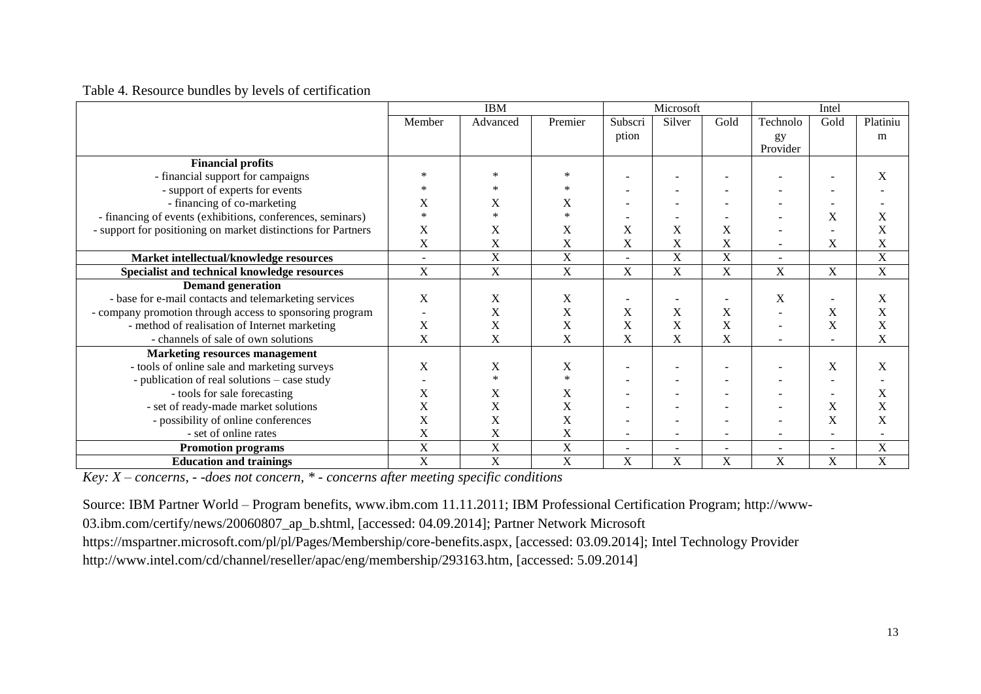#### Table 4. Resource bundles by levels of certification

|                                                               |                           | <b>IBM</b>                |         | Microsoft                |                           |                          | Intel    |                          |             |
|---------------------------------------------------------------|---------------------------|---------------------------|---------|--------------------------|---------------------------|--------------------------|----------|--------------------------|-------------|
|                                                               | Member                    | Advanced                  | Premier | Subscri                  | Silver                    | Gold                     | Technolo | Gold                     | Platiniu    |
|                                                               |                           |                           |         | ption                    |                           |                          | gy       |                          | m           |
|                                                               |                           |                           |         |                          |                           |                          | Provider |                          |             |
| <b>Financial profits</b>                                      |                           |                           |         |                          |                           |                          |          |                          |             |
| - financial support for campaigns                             |                           |                           |         |                          |                           |                          |          |                          | X           |
| - support of experts for events                               |                           |                           |         | $\overline{\phantom{a}}$ |                           |                          |          |                          |             |
| - financing of co-marketing                                   | X                         | X                         | X       | $\overline{\phantom{a}}$ |                           |                          |          |                          |             |
| - financing of events (exhibitions, conferences, seminars)    | $\ast$                    | $\ast$                    | $\ast$  |                          |                           |                          |          | X                        | X           |
| - support for positioning on market distinctions for Partners | X                         | X                         | X       | X                        | X                         | X                        |          |                          | X           |
|                                                               | X                         | X                         | X       | X                        | X                         | X                        |          | X                        | X           |
| Market intellectual/knowledge resources                       |                           | $\overline{X}$            | X       | $\sim$                   | $\mathbf X$               | X                        |          |                          | $\mathbf X$ |
| Specialist and technical knowledge resources                  | X                         | X                         | X       | X                        | X                         | X                        | X        | X                        | $\mathbf X$ |
| <b>Demand generation</b>                                      |                           |                           |         |                          |                           |                          |          |                          |             |
| - base for e-mail contacts and telemarketing services         | X                         | X                         | X       | $\overline{\phantom{a}}$ | $\overline{\phantom{a}}$  | $\overline{\phantom{a}}$ | X        |                          | X           |
| - company promotion through access to sponsoring program      |                           | X                         | X       | $\mathbf X$              | X                         | X                        |          | X                        | X           |
| - method of realisation of Internet marketing                 | X                         | X                         | X       | X                        | X                         | X                        | ۰        | X                        | X           |
| - channels of sale of own solutions                           | X                         | X                         | X       | X                        | X                         | X                        |          |                          | X           |
| <b>Marketing resources management</b>                         |                           |                           |         |                          |                           |                          |          |                          |             |
| - tools of online sale and marketing surveys                  | $\boldsymbol{\mathrm{X}}$ | X                         | X       |                          |                           |                          |          | X                        | $\mathbf X$ |
| - publication of real solutions – case study                  |                           | $\ast$                    | $\ast$  | $\overline{\phantom{a}}$ | $\overline{\phantom{a}}$  |                          |          |                          |             |
| - tools for sale forecasting                                  | X                         | X                         | X       | $\overline{\phantom{a}}$ |                           |                          |          |                          | X           |
| - set of ready-made market solutions                          | X                         | X                         | X       |                          |                           |                          |          | X                        | X           |
| - possibility of online conferences                           | X                         | X                         | X       | $\overline{\phantom{a}}$ | $\overline{\phantom{a}}$  |                          |          | X                        | X           |
| - set of online rates                                         | X                         | X                         | X       | $\overline{\phantom{a}}$ | $\overline{\phantom{a}}$  |                          |          | $\overline{\phantom{a}}$ |             |
| <b>Promotion programs</b>                                     | $\mathbf X$               | $\boldsymbol{\mathrm{X}}$ | X       | $\overline{\phantom{a}}$ | $\overline{\phantom{a}}$  | ۰                        | ۰        | $\overline{\phantom{a}}$ | $\mathbf X$ |
| <b>Education and trainings</b>                                | X                         | $\mathbf X$               | X       | $\overline{X}$           | $\boldsymbol{\mathrm{X}}$ | X                        | X        | X                        | $\mathbf X$ |

*Key: X – concerns, - -does not concern, \* - concerns after meeting specific conditions*

Source: IBM Partner World – Program benefits, www.ibm.com 11.11.2011; IBM Professional Certification Program; http://www-

03.ibm.com/certify/news/20060807\_ap\_b.shtml, [accessed: 04.09.2014]; Partner Network Microsoft

https://mspartner.microsoft.com/pl/pl/Pages/Membership/core-benefits.aspx, [accessed: 03.09.2014]; Intel Technology Provider

http://www.intel.com/cd/channel/reseller/apac/eng/membership/293163.htm, [accessed: 5.09.2014]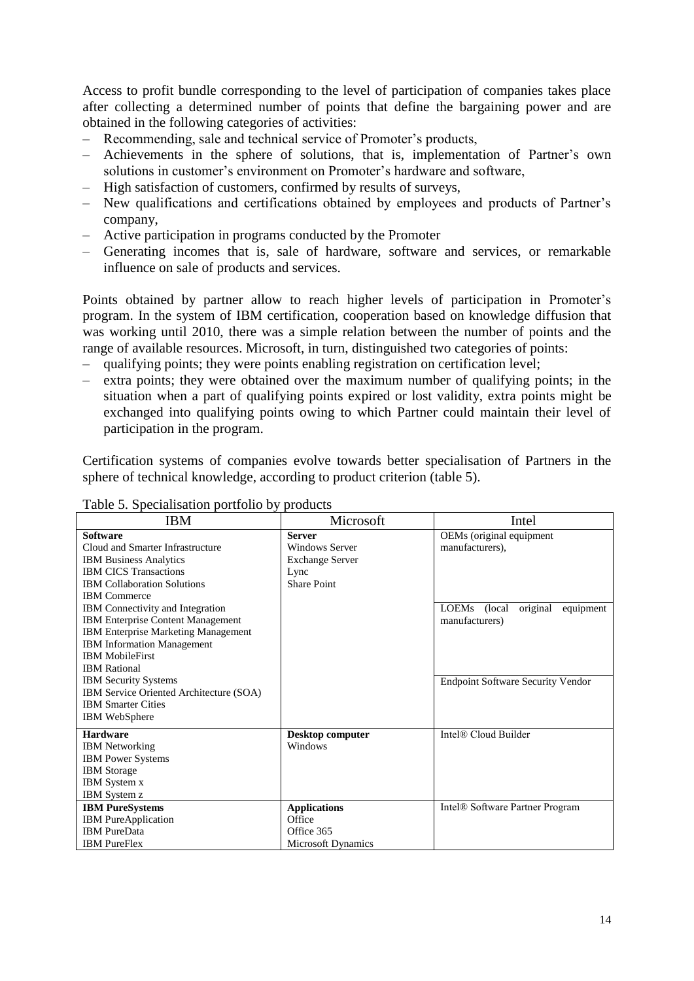Access to profit bundle corresponding to the level of participation of companies takes place after collecting a determined number of points that define the bargaining power and are obtained in the following categories of activities:

- Recommending, sale and technical service of Promoter's products,
- Achievements in the sphere of solutions, that is, implementation of Partner's own solutions in customer's environment on Promoter's hardware and software,
- High satisfaction of customers, confirmed by results of surveys,
- New qualifications and certifications obtained by employees and products of Partner's company,
- Active participation in programs conducted by the Promoter
- Generating incomes that is, sale of hardware, software and services, or remarkable influence on sale of products and services.

Points obtained by partner allow to reach higher levels of participation in Promoter's program. In the system of IBM certification, cooperation based on knowledge diffusion that was working until 2010, there was a simple relation between the number of points and the range of available resources. Microsoft, in turn, distinguished two categories of points:

- qualifying points; they were points enabling registration on certification level;
- extra points; they were obtained over the maximum number of qualifying points; in the situation when a part of qualifying points expired or lost validity, extra points might be exchanged into qualifying points owing to which Partner could maintain their level of participation in the program.

Certification systems of companies evolve towards better specialisation of Partners in the sphere of technical knowledge, according to product criterion (table 5).

| <b>IBM</b>                                 | Microsoft                 | Intel                                    |
|--------------------------------------------|---------------------------|------------------------------------------|
| <b>Software</b>                            | <b>Server</b>             | OEMs (original equipment                 |
| Cloud and Smarter Infrastructure           | <b>Windows Server</b>     | manufacturers).                          |
| <b>IBM Business Analytics</b>              | <b>Exchange Server</b>    |                                          |
| <b>IBM CICS Transactions</b>               | Lync                      |                                          |
| <b>IBM Collaboration Solutions</b>         | <b>Share Point</b>        |                                          |
| <b>IBM</b> Commerce                        |                           |                                          |
| <b>IBM</b> Connectivity and Integration    |                           | original<br>LOEMs (local<br>equipment    |
| <b>IBM Enterprise Content Management</b>   |                           | manufacturers)                           |
| <b>IBM Enterprise Marketing Management</b> |                           |                                          |
| <b>IBM</b> Information Management          |                           |                                          |
| <b>IBM MobileFirst</b>                     |                           |                                          |
| <b>IBM</b> Rational                        |                           |                                          |
| <b>IBM Security Systems</b>                |                           | <b>Endpoint Software Security Vendor</b> |
| IBM Service Oriented Architecture (SOA)    |                           |                                          |
| <b>IBM Smarter Cities</b>                  |                           |                                          |
| <b>IBM</b> WebSphere                       |                           |                                          |
| <b>Hardware</b>                            | <b>Desktop computer</b>   | Intel® Cloud Builder                     |
| <b>IBM</b> Networking                      | Windows                   |                                          |
| <b>IBM Power Systems</b>                   |                           |                                          |
| <b>IBM</b> Storage                         |                           |                                          |
| <b>IBM</b> System x                        |                           |                                          |
| <b>IBM</b> System z                        |                           |                                          |
| <b>IBM</b> PureSystems                     | <b>Applications</b>       | Intel® Software Partner Program          |
| <b>IBM</b> PureApplication                 | Office                    |                                          |
| <b>IBM</b> PureData                        | Office 365                |                                          |
| <b>IBM</b> PureFlex                        | <b>Microsoft Dynamics</b> |                                          |

#### Table 5. Specialisation portfolio by products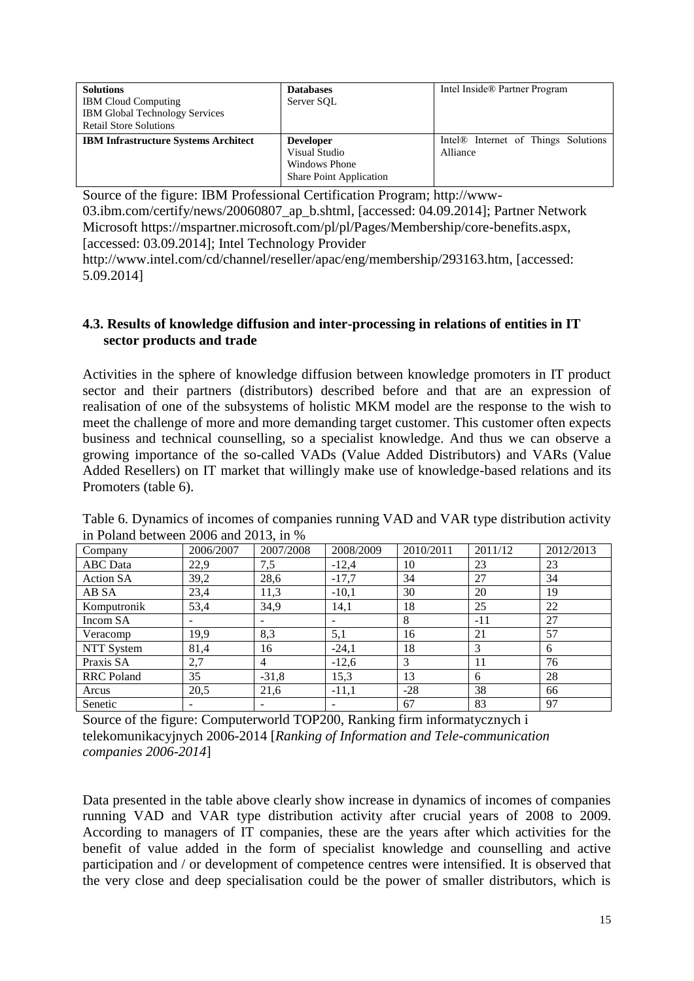| <b>Solutions</b>                            | <b>Databases</b>               | Intel Inside® Partner Program                   |
|---------------------------------------------|--------------------------------|-------------------------------------------------|
| <b>IBM Cloud Computing</b>                  | Server SOL                     |                                                 |
| <b>IBM Global Technology Services</b>       |                                |                                                 |
| <b>Retail Store Solutions</b>               |                                |                                                 |
| <b>IBM Infrastructure Systems Architect</b> | <b>Developer</b>               | Intel <sup>®</sup> Internet of Things Solutions |
|                                             | Visual Studio                  | Alliance                                        |
|                                             |                                |                                                 |
|                                             | Windows Phone                  |                                                 |
|                                             | <b>Share Point Application</b> |                                                 |

Source of the figure: IBM Professional Certification Program; http://www-03.ibm.com/certify/news/20060807\_ap\_b.shtml, [accessed: 04.09.2014]; Partner Network Microsoft https://mspartner.microsoft.com/pl/pl/Pages/Membership/core-benefits.aspx, [accessed: 03.09.2014]; Intel Technology Provider

http://www.intel.com/cd/channel/reseller/apac/eng/membership/293163.htm, [accessed: 5.09.2014]

### **4.3. Results of knowledge diffusion and inter-processing in relations of entities in IT sector products and trade**

Activities in the sphere of knowledge diffusion between knowledge promoters in IT product sector and their partners (distributors) described before and that are an expression of realisation of one of the subsystems of holistic MKM model are the response to the wish to meet the challenge of more and more demanding target customer. This customer often expects business and technical counselling, so a specialist knowledge. And thus we can observe a growing importance of the so-called VADs (Value Added Distributors) and VARs (Value Added Resellers) on IT market that willingly make use of knowledge-based relations and its Promoters (table 6).

| Company           | 2006/2007 | 2007/2008 | 2008/2009 | 2010/2011 | 2011/12 | 2012/2013 |
|-------------------|-----------|-----------|-----------|-----------|---------|-----------|
| <b>ABC</b> Data   | 22,9      | 7,5       | $-12,4$   | 10        | 23      | 23        |
| <b>Action SA</b>  | 39,2      | 28,6      | $-17,7$   | 34        | 27      | 34        |
| AB SA             | 23,4      | 11,3      | $-10,1$   | 30        | 20      | 19        |
| Komputronik       | 53,4      | 34,9      | 14,1      | 18        | 25      | 22        |
| Incom SA          |           |           |           | 8         | $-11$   | 27        |
| Veracomp          | 19,9      | 8,3       | 5,1       | 16        | 21      | 57        |
| NTT System        | 81,4      | 16        | $-24,1$   | 18        | 3       | 6         |
| Praxis SA         | 2,7       | 4         | $-12,6$   | 3         | 11      | 76        |
| <b>RRC</b> Poland | 35        | $-31,8$   | 15,3      | 13        | 6       | 28        |
| Arcus             | 20,5      | 21,6      | $-11,1$   | $-28$     | 38      | 66        |
| Senetic           |           |           |           | 67        | 83      | 97        |

Table 6. Dynamics of incomes of companies running VAD and VAR type distribution activity in Poland between 2006 and 2013, in %

Source of the figure: Computerworld TOP200, Ranking firm informatycznych i telekomunikacyjnych 2006-2014 [*Ranking of Information and Tele-communication companies 2006-2014*]

Data presented in the table above clearly show increase in dynamics of incomes of companies running VAD and VAR type distribution activity after crucial years of 2008 to 2009. According to managers of IT companies, these are the years after which activities for the benefit of value added in the form of specialist knowledge and counselling and active participation and / or development of competence centres were intensified. It is observed that the very close and deep specialisation could be the power of smaller distributors, which is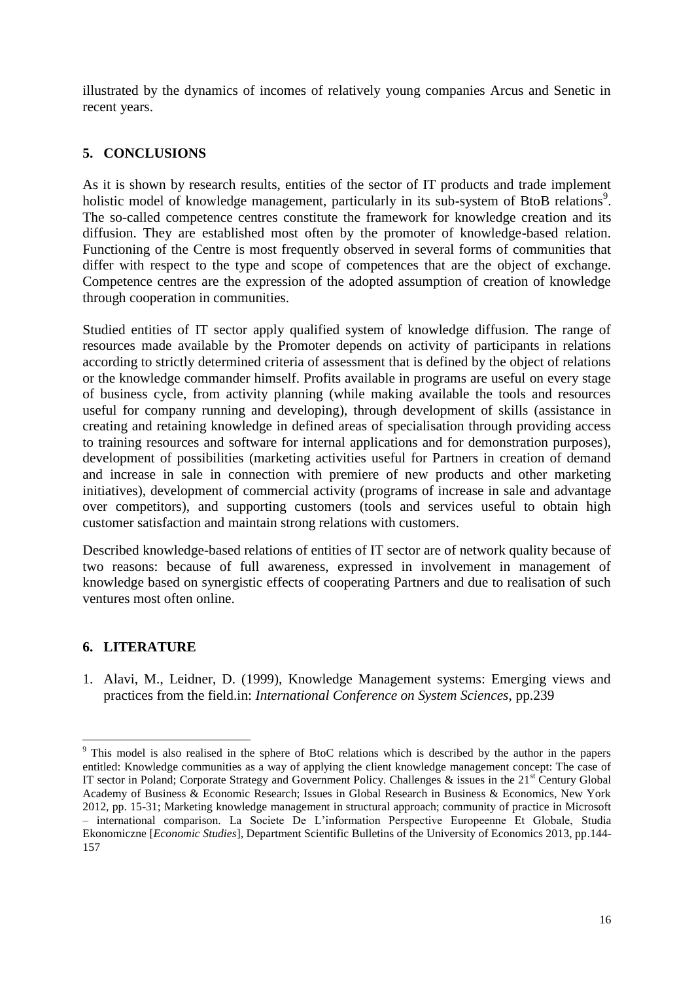illustrated by the dynamics of incomes of relatively young companies Arcus and Senetic in recent years.

# **5. CONCLUSIONS**

As it is shown by research results, entities of the sector of IT products and trade implement holistic model of knowledge management, particularly in its sub-system of BtoB relations<sup>9</sup>. The so-called competence centres constitute the framework for knowledge creation and its diffusion. They are established most often by the promoter of knowledge-based relation. Functioning of the Centre is most frequently observed in several forms of communities that differ with respect to the type and scope of competences that are the object of exchange. Competence centres are the expression of the adopted assumption of creation of knowledge through cooperation in communities.

Studied entities of IT sector apply qualified system of knowledge diffusion. The range of resources made available by the Promoter depends on activity of participants in relations according to strictly determined criteria of assessment that is defined by the object of relations or the knowledge commander himself. Profits available in programs are useful on every stage of business cycle, from activity planning (while making available the tools and resources useful for company running and developing), through development of skills (assistance in creating and retaining knowledge in defined areas of specialisation through providing access to training resources and software for internal applications and for demonstration purposes), development of possibilities (marketing activities useful for Partners in creation of demand and increase in sale in connection with premiere of new products and other marketing initiatives), development of commercial activity (programs of increase in sale and advantage over competitors), and supporting customers (tools and services useful to obtain high customer satisfaction and maintain strong relations with customers.

Described knowledge-based relations of entities of IT sector are of network quality because of two reasons: because of full awareness, expressed in involvement in management of knowledge based on synergistic effects of cooperating Partners and due to realisation of such ventures most often online.

# **6. LITERATURE**

 $\overline{\phantom{a}}$ 

1. Alavi, M., Leidner, D. (1999), Knowledge Management systems: Emerging views and practices from the field.in: *International Conference on System Sciences*, pp.239

<sup>&</sup>lt;sup>9</sup> This model is also realised in the sphere of BtoC relations which is described by the author in the papers entitled: Knowledge communities as a way of applying the client knowledge management concept: The case of IT sector in Poland; Corporate Strategy and Government Policy. Challenges & issues in the  $21<sup>st</sup>$  Century Global Academy of Business & Economic Research; Issues in Global Research in Business & Economics, New York 2012, pp. 15-31; Marketing knowledge management in structural approach; community of practice in Microsoft – international comparison. La Societe De L'information Perspective Europeenne Et Globale, Studia Ekonomiczne [*Economic Studies*], Department Scientific Bulletins of the University of Economics 2013, pp.144- 157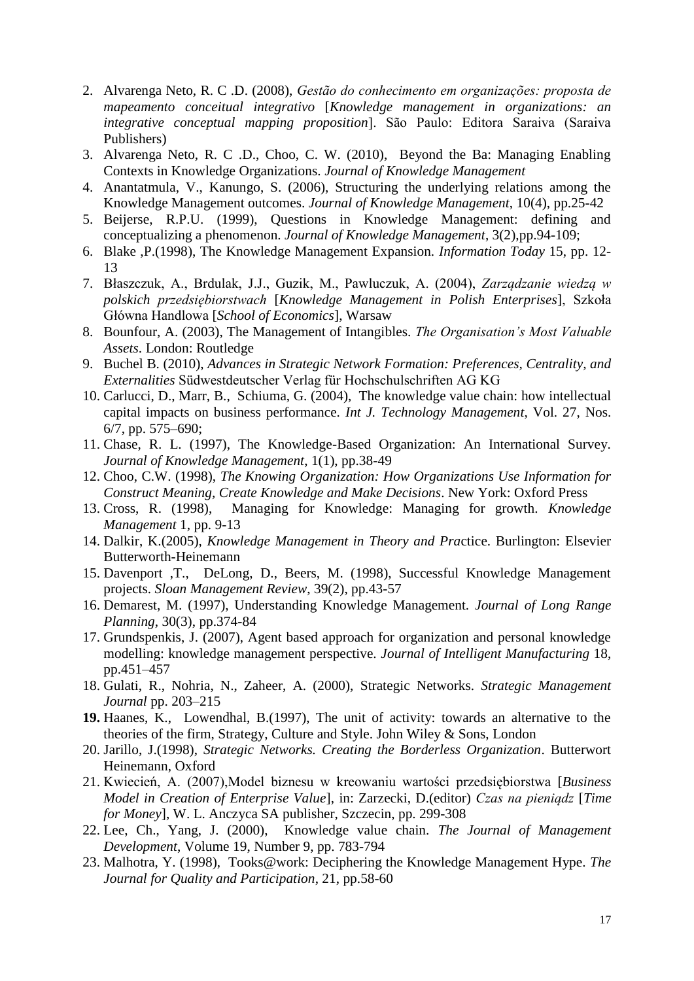- 2. Alvarenga Neto, R. C .D. (2008), *Gestão do conhecimento em organizações: proposta de mapeamento conceitual integrativo* [*Knowledge management in organizations: an integrative conceptual mapping proposition*]. São Paulo: Editora Saraiva (Saraiva Publishers)
- 3. Alvarenga Neto, R. C .D., Choo, C. W. (2010), Beyond the Ba: Managing Enabling Contexts in Knowledge Organizations. *Journal of Knowledge Management*
- 4. Anantatmula, V., Kanungo, S. (2006), Structuring the underlying relations among the Knowledge Management outcomes. *Journal of Knowledge Management*, 10(4), pp.25-42
- 5. Beijerse, R.P.U. (1999), Questions in Knowledge Management: defining and conceptualizing a phenomenon. *Journal of Knowledge Management*, 3(2),pp.94-109;
- 6. Blake ,P.(1998), The Knowledge Management Expansion*. Information Today* 15, pp. 12- 13
- 7. Błaszczuk, A., Brdulak, J.J., Guzik, M., Pawluczuk, A. (2004), *Zarządzanie wiedzą w polskich przedsiębiorstwach* [*Knowledge Management in Polish Enterprises*], Szkoła Główna Handlowa [*School of Economics*], Warsaw
- 8. Bounfour, A. (2003), The Management of Intangibles. *The Organisation's Most Valuable Assets*. London: Routledge
- 9. Buchel B. (2010), *[Advances in Strategic Network Formation: Preferences, Centrality, and](http://books.google.com.au/books?id=_GTfQgAACAAJ&)  [Externalities](http://books.google.com.au/books?id=_GTfQgAACAAJ&)* Südwestdeutscher Verlag für Hochschulschriften AG KG
- 10. Carlucci, D., Marr, B., Schiuma, G. (2004), The knowledge value chain: how intellectual capital impacts on business performance. *Int J. Technology Management*, Vol. 27, Nos. 6/7, pp. 575–690;
- 11. Chase, R. L. (1997), The Knowledge-Based Organization: An International Survey. *Journal of Knowledge Management*, 1(1), pp.38-49
- 12. Choo, C.W. (1998), *The Knowing Organization: How Organizations Use Information for Construct Meaning, Create Knowledge and Make Decisions*. New York: Oxford Press
- 13. Cross, R. (1998), Managing for Knowledge: Managing for growth. *Knowledge Management* 1, pp. 9-13
- 14. Dalkir, K.(2005), *Knowledge Management in Theory and Pra*ctice. Burlington: Elsevier Butterworth-Heinemann
- 15. Davenport ,T., DeLong, D., Beers, M. (1998), Successful Knowledge Management projects. *Sloan Management Review*, 39(2), pp.43-57
- 16. Demarest, M. (1997), Understanding Knowledge Management. *Journal of Long Range Planning*, 30(3), pp.374-84
- 17. Grundspenkis, J. (2007), Agent based approach for organization and personal knowledge modelling: knowledge management perspective. *Journal of Intelligent Manufacturing* 18, pp.451–457
- 18. Gulati, R., Nohria, N., Zaheer, A. (2000), Strategic Networks. *Strategic Management Journal* pp. 203–215
- **19.** Haanes, K., Lowendhal, B.(1997), The unit of activity: towards an alternative to the theories of the firm, Strategy, Culture and Style. John Wiley & Sons, London
- 20. Jarillo, J.(1998), *Strategic Networks. Creating the Borderless Organization*. Butterwort Heinemann, Oxford
- 21. Kwiecień, A. (2007),Model biznesu w kreowaniu wartości przedsiębiorstwa [*Business Model in Creation of Enterprise Value*], in: Zarzecki, D.(editor) *Czas na pieniądz* [*Time for Money*], W. L. Anczyca SA publisher, Szczecin, pp. 299-308
- 22. Lee, Ch., Yang, J. (2000), Knowledge value chain. *[The Journal of Management](http://www.ingentaconnect.com/content/mcb/026;jsessionid=3a2372rgx7r9a.alice)  [Development](http://www.ingentaconnect.com/content/mcb/026;jsessionid=3a2372rgx7r9a.alice)*, Volume 19, Number 9, pp. 783-794
- 23. Malhotra, Y. (1998), Tooks@work: Deciphering the Knowledge Management Hype. *The Journal for Quality and Participation*, 21, pp.58-60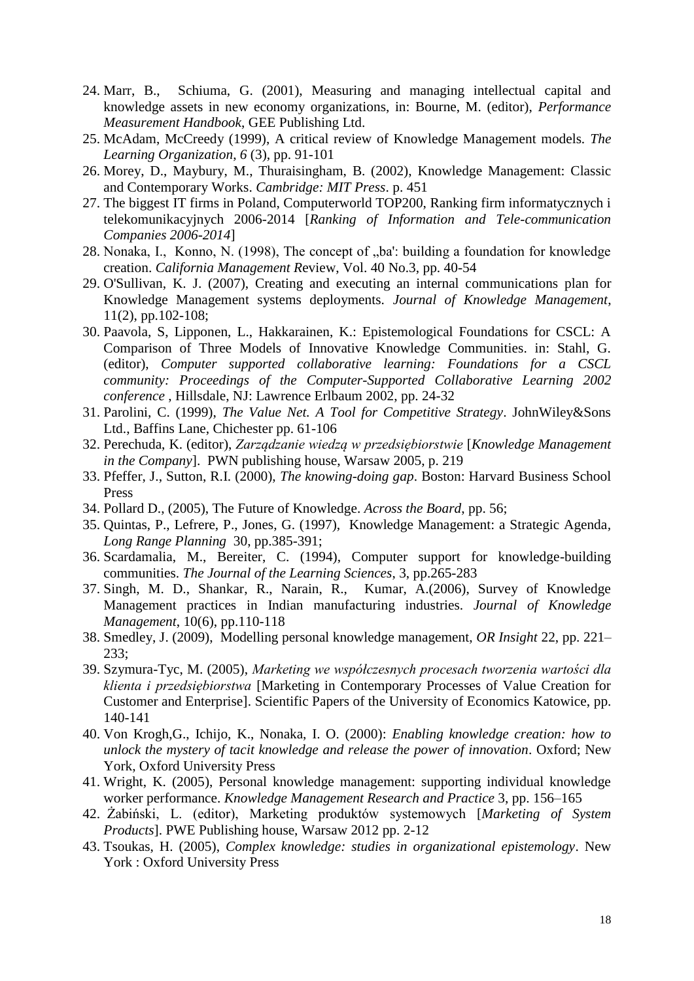- 24. Marr, B., Schiuma, G. (2001), Measuring and managing intellectual capital and knowledge assets in new economy organizations, in: Bourne, M. (editor), *Performance Measurement Handbook*, GEE Publishing Ltd.
- 25. McAdam, McCreedy (1999), A critical review of Knowledge Management models*. The Learning Organization*, *6* (3), pp. 91-101
- 26. Morey, D., Maybury, M., Thuraisingham, B. (2002), [Knowledge Management: Classic](http://www.microsofttranslator.com/bv.aspx?from=&to=pl&a=http%3A%2F%2Fmitpress.mit.edu%2Fcatalog%2Fitem%2Fdefault.asp%3Fttype%3D2%26tid%3D8987)  [and Contemporary Works.](http://www.microsofttranslator.com/bv.aspx?from=&to=pl&a=http%3A%2F%2Fmitpress.mit.edu%2Fcatalog%2Fitem%2Fdefault.asp%3Fttype%3D2%26tid%3D8987) *Cambridge: MIT Press*. p. 451
- 27. The biggest IT firms in Poland, Computerworld TOP200, Ranking firm informatycznych i telekomunikacyjnych 2006-2014 [*Ranking of Information and Tele-communication Companies 2006-2014*]
- 28. Nonaka, I., Konno, N. (1998), The concept of "ba': building a foundation for knowledge creation. *California Management R*eview, Vol. 40 No.3, pp. 40-54
- 29. O'Sullivan, K. J. (2007), Creating and executing an internal communications plan for Knowledge Management systems deployments. *Journal of Knowledge Management*, 11(2), pp.102-108;
- 30. Paavola, S, Lipponen, L., Hakkarainen, K.: Epistemological Foundations for CSCL: A Comparison of Three Models of Innovative Knowledge Communities. in: Stahl, G. (editor), *Computer supported collaborative learning: Foundations for a CSCL community: Proceedings of the Computer-Supported Collaborative Learning 2002 conference* , Hillsdale, NJ: Lawrence Erlbaum 2002, pp. 24-32
- 31. Parolini, C. (1999), *The Value Net. A Tool for Competitive Strategy*. JohnWiley&Sons Ltd., Baffins Lane, Chichester pp. 61-106
- 32. Perechuda, K. (editor), *Zarządzanie wiedzą w przedsiębiorstwie* [*Knowledge Management in the Company*]. PWN publishing house, Warsaw 2005, p. 219
- 33. Pfeffer, J., Sutton, R.I. (2000), *The knowing-doing gap*. Boston: Harvard Business School Press
- 34. Pollard D., (2005), The Future of Knowledge. *Across the Board*, pp. 56;
- 35. Quintas, P., Lefrere, P., Jones, G. (1997), Knowledge Management: a Strategic Agenda*, Long Range Planning* 30, pp.385-391;
- 36. Scardamalia, M., Bereiter, C. (1994), Computer support for knowledge-building communities. *The Journal of the Learning Sciences*, 3, pp.265-283
- 37. Singh, M. D., Shankar, R., Narain, R., Kumar, A.(2006), Survey of Knowledge Management practices in Indian manufacturing industries. *Journal of Knowledge Management*, 10(6), pp.110-118
- 38. Smedley, J. (2009), Modelling personal knowledge management, *OR Insight* 22, pp. 221– 233;
- 39. Szymura-Tyc, M. (2005), *Marketing we współczesnych procesach tworzenia wartości dla klienta i przedsiębiorstwa* [Marketing in Contemporary Processes of Value Creation for Customer and Enterprise]. Scientific Papers of the University of Economics Katowice, pp. 140-141
- 40. Von Krogh,G., Ichijo, K., Nonaka, I. O. (2000): *Enabling knowledge creation: how to unlock the mystery of tacit knowledge and release the power of innovation*. Oxford; New York, Oxford University Press
- 41. Wright, K. (2005), Personal knowledge management: supporting individual knowledge worker performance. *Knowledge Management Research and Practice* 3, pp. 156–165
- 42. Żabiński, L. (editor), Marketing produktów systemowych [*Marketing of System Products*]. PWE Publishing house, Warsaw 2012 pp. 2-12
- 43. Tsoukas, H. (2005), *Complex knowledge: studies in organizational epistemology*. New York : Oxford University Press